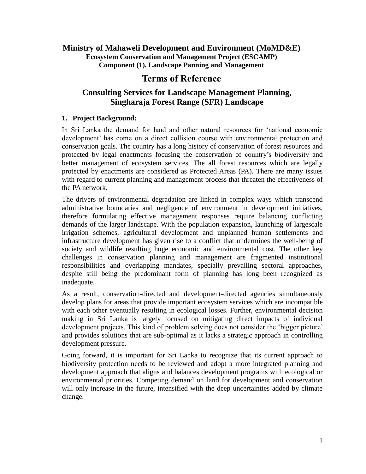## **Ministry of Mahaweli Development and Environment (MoMD&E) Ecosystem Conservation and Management Project (ESCAMP) Component (1). Landscape Panning and Management**

# **Terms of Reference**

## **Consulting Services for Landscape Management Planning, Singharaja Forest Range (SFR) Landscape**

## **1. Project Background:**

In Sri Lanka the demand for land and other natural resources for 'national economic development' has come on a direct collision course with environmental protection and conservation goals. The country has a long history of conservation of forest resources and protected by legal enactments focusing the conservation of country's biodiversity and better management of ecosystem services. The all forest resources which are legally protected by enactments are considered as Protected Areas (PA). There are many issues with regard to current planning and management process that threaten the effectiveness of the PA network.

The drivers of environmental degradation are linked in complex ways which transcend administrative boundaries and negligence of environment in development initiatives, therefore formulating effective management responses require balancing conflicting demands of the larger landscape. With the population expansion, launching of largescale irrigation schemes, agricultural development and unplanned human settlements and infrastructure development has given rise to a conflict that undermines the well-being of society and wildlife resulting huge economic and environmental cost. The other key challenges in conservation planning and management are fragmented institutional responsibilities and overlapping mandates, specially prevailing sectoral approaches, despite still being the predominant form of planning has long been recognized as inadequate.

As a result, conservation-directed and development-directed agencies simultaneously develop plans for areas that provide important ecosystem services which are incompatible with each other eventually resulting in ecological losses. Further, environmental decision making in Sri Lanka is largely focused on mitigating direct impacts of individual development projects. This kind of problem solving does not consider the 'bigger picture' and provides solutions that are sub-optimal as it lacks a strategic approach in controlling development pressure.

Going forward, it is important for Sri Lanka to recognize that its current approach to biodiversity protection needs to be reviewed and adopt a more integrated planning and development approach that aligns and balances development programs with ecological or environmental priorities. Competing demand on land for development and conservation will only increase in the future, intensified with the deep uncertainties added by climate change.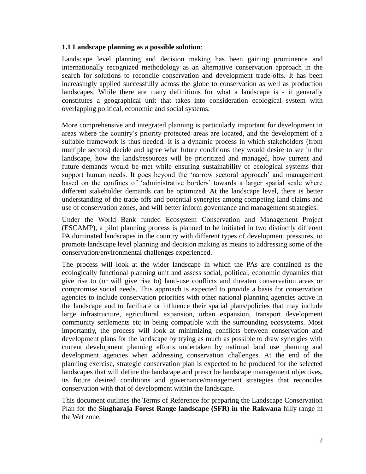#### **1.1 Landscape planning as a possible solution**:

Landscape level planning and decision making has been gaining prominence and internationally recognized methodology as an alternative conservation approach in the search for solutions to reconcile conservation and development trade-offs. It has been increasingly applied successfully across the globe to conservation as well as production landscapes. While there are many definitions for what a landscape is - it generally constitutes a geographical unit that takes into consideration ecological system with overlapping political, economic and social systems.

More comprehensive and integrated planning is particularly important for development in areas where the country's priority protected areas are located, and the development of a suitable framework is thus needed. It is a dynamic process in which stakeholders (from multiple sectors) decide and agree what future conditions they would desire to see in the landscape, how the lands/resources will be prioritized and managed, how current and future demands would be met while ensuring sustainability of ecological systems that support human needs. It goes beyond the 'narrow sectoral approach' and management based on the confines of 'administrative borders' towards a larger spatial scale where different stakeholder demands can be optimized. At the landscape level, there is better understanding of the trade-offs and potential synergies among competing land claims and use of conservation zones, and will better inform governance and management strategies.

Under the World Bank funded Ecosystem Conservation and Management Project (ESCAMP), a pilot planning process is planned to be initiated in two distinctly different PA dominated landscapes in the country with different types of development pressures, to promote landscape level planning and decision making as means to addressing some of the conservation/environmental challenges experienced.

The process will look at the wider landscape in which the PAs are contained as the ecologically functional planning unit and assess social, political, economic dynamics that give rise to (or will give rise to) land-use conflicts and threaten conservation areas or compromise social needs. This approach is expected to provide a basis for conservation agencies to include conservation priorities with other national planning agencies active in the landscape and to facilitate or influence their spatial plans/policies that may include large infrastructure, agricultural expansion, urban expansion, transport development community settlements etc in being compatible with the surrounding ecosystems. Most importantly, the process will look at minimizing conflicts between conservation and development plans for the landscape by trying as much as possible to draw synergies with current development planning efforts undertaken by national land use planning and development agencies when addressing conservation challenges. At the end of the planning exercise, strategic conservation plan is expected to be produced for the selected landscapes that will define the landscape and prescribe landscape management objectives, its future desired conditions and governance/management strategies that reconciles conservation with that of development within the landscape.

This document outlines the Terms of Reference for preparing the Landscape Conservation Plan for the **Singharaja Forest Range landscape (SFR) in the Rakwana** hilly range in the Wet zone.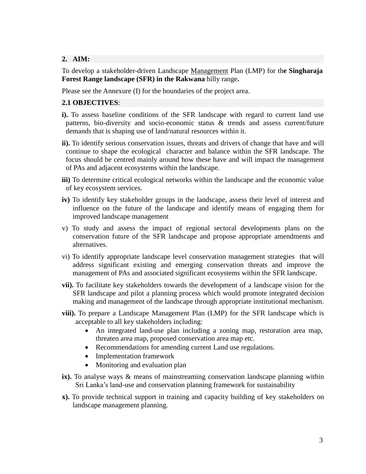## **2. AIM:**

To develop a stakeholder-driven Landscape Management Plan (LMP) for th**e Singharaja Forest Range landscape (SFR) in the Rakwana** hilly range**.**

Please see the Annexure (I) for the boundaries of the project area.

### **2.1 OBJECTIVES**:

- **i).** To assess baseline conditions of the SFR landscape with regard to current land use patterns, bio-diversity and socio-economic status & trends and assess current/future demands that is shaping use of land/natural resources within it.
- **ii).** To identify serious conservation issues, threats and drivers of change that have and will continue to shape the ecological character and balance within the SFR landscape. The focus should be centred mainly around how these have and will impact the management of PAs and adjacent ecosystems within the landscape.
- **iii)** To determine critical ecological networks within the landscape and the economic value of key ecosystem services.
- **iv)** To identify key stakeholder groups in the landscape, assess their level of interest and influence on the future of the landscape and identify means of engaging them for improved landscape management
- v) To study and assess the impact of regional sectoral developments plans on the conservation future of the SFR landscape and propose appropriate amendments and alternatives.
- vi) To identify appropriate landscape level conservation management strategies that will address significant existing and emerging conservation threats and improve the management of PAs and associated significant ecosystems within the SFR landscape.
- **vii).** To facilitate key stakeholders towards the development of a landscape vision for the SFR landscape and pilot a planning process which would promote integrated decision making and management of the landscape through appropriate institutional mechanism.
- **viii).** To prepare a Landscape Management Plan (LMP) for the SFR landscape which is acceptable to all key stakeholders including:
	- An integrated land-use plan including a zoning map, restoration area map, threaten area map, proposed conservation area map etc.
	- Recommendations for amending current Land use regulations.
	- Implementation framework
	- Monitoring and evaluation plan
- **ix).** To analyse ways & means of mainstreaming conservation landscape planning within Sri Lanka's land-use and conservation planning framework for sustainability
- **x).** To provide technical support in training and capacity building of key stakeholders on landscape management planning.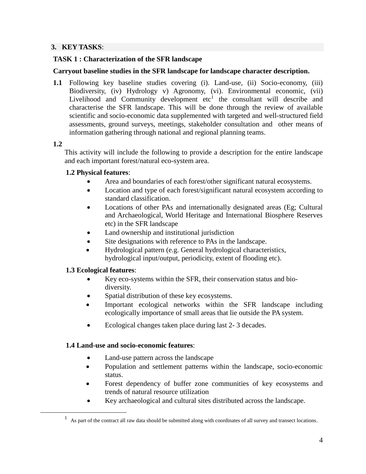### **3. KEY TASKS**:

#### **TASK 1 : Characterization of the SFR landscape**

#### **Carryout baseline studies in the SFR landscape for landscape character description.**

**1.1** Following key baseline studies covering (i). Land-use, (ii) Socio-economy, (iii) Biodiversity, (iv) Hydrology v) Agronomy, (vi). Environmental economic, (vii) Livelihood and Community development  $etc<sup>1</sup>$  the consultant will describe and characterise the SFR landscape. This will be done through the review of available scientific and socio-economic data supplemented with targeted and well-structured field assessments, ground surveys, meetings, stakeholder consultation and other means of information gathering through national and regional planning teams.

#### **1.2**

 $\overline{a}$ 

This activity will include the following to provide a description for the entire landscape and each important forest/natural eco-system area.

## **1.2 Physical features**:

- Area and boundaries of each forest/other significant natural ecosystems.
- Location and type of each forest/significant natural ecosystem according to standard classification.
- Locations of other PAs and internationally designated areas (Eg; Cultural and Archaeological, World Heritage and International Biosphere Reserves etc) in the SFR landscape
- Land ownership and institutional jurisdiction
- Site designations with reference to PAs in the landscape.
- Hydrological pattern (e.g. General hydrological characteristics, hydrological input/output, periodicity, extent of flooding etc).

## **1.3 Ecological features**:

- Key eco-systems within the SFR, their conservation status and bio diversity.
- Spatial distribution of these key ecosystems.
- Important ecological networks within the SFR landscape including ecologically importance of small areas that lie outside the PA system.
- Ecological changes taken place during last 2- 3 decades.

## **1.4 Land-use and socio-economic features**:

- Land-use pattern across the landscape
- Population and settlement patterns within the landscape, socio-economic status.
- Forest dependency of buffer zone communities of key ecosystems and trends of natural resource utilization
- Key archaeological and cultural sites distributed across the landscape.

 $<sup>1</sup>$  As part of the contract all raw data should be submitted along with coordinates of all survey and transect locations.</sup>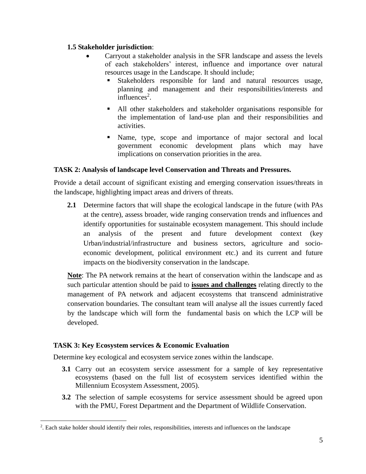## **1.5 Stakeholder jurisdiction**:

- Carryout a stakeholder analysis in the SFR landscape and assess the levels of each stakeholders' interest, influence and importance over natural resources usage in the Landscape. It should include;
	- Stakeholders responsible for land and natural resources usage, planning and management and their responsibilities/interests and  $influences<sup>2</sup>$ .
	- All other stakeholders and stakeholder organisations responsible for the implementation of land-use plan and their responsibilities and activities.
	- Name, type, scope and importance of major sectoral and local government economic development plans which may have implications on conservation priorities in the area.

## **TASK 2: Analysis of landscape level Conservation and Threats and Pressures.**

Provide a detail account of significant existing and emerging conservation issues/threats in the landscape, highlighting impact areas and drivers of threats.

**2.1** Determine factors that will shape the ecological landscape in the future (with PAs at the centre), assess broader, wide ranging conservation trends and influences and identify opportunities for sustainable ecosystem management. This should include an analysis of the present and future development context (key Urban/industrial/infrastructure and business sectors, agriculture and socioeconomic development, political environment etc.) and its current and future impacts on the biodiversity conservation in the landscape.

**Note**: The PA network remains at the heart of conservation within the landscape and as such particular attention should be paid to **issues and challenges** relating directly to the management of PA network and adjacent ecosystems that transcend administrative conservation boundaries. The consultant team will analyse all the issues currently faced by the landscape which will form the fundamental basis on which the LCP will be developed.

## **TASK 3: Key Ecosystem services & Economic Evaluation**

 $\overline{a}$ 

Determine key ecological and ecosystem service zones within the landscape.

- **3.1** Carry out an ecosystem service assessment for a sample of key representative ecosystems (based on the full list of ecosystem services identified within the Millennium Ecosystem Assessment, 2005).
- **3.2** The selection of sample ecosystems for service assessment should be agreed upon with the PMU, Forest Department and the Department of Wildlife Conservation.

<sup>2</sup> . Each stake holder should identify their roles, responsibilities, interests and influences on the landscape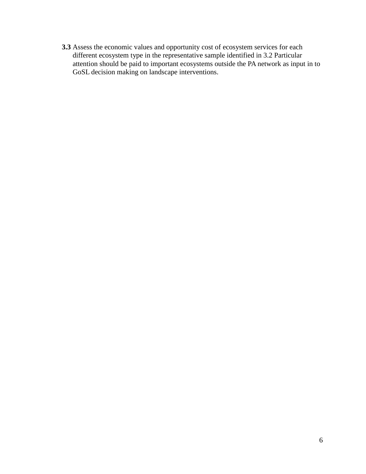**3.3** Assess the economic values and opportunity cost of ecosystem services for each different ecosystem type in the representative sample identified in 3.2 Particular attention should be paid to important ecosystems outside the PA network as input in to GoSL decision making on landscape interventions.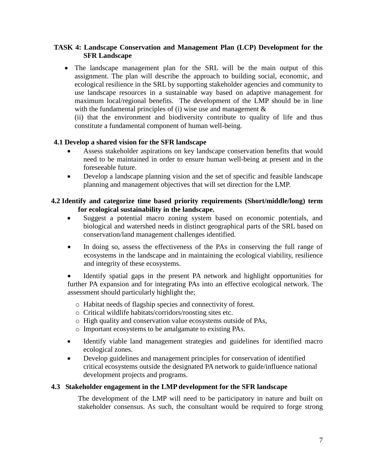## **TASK 4: Landscape Conservation and Management Plan (LCP) Development for the SFR Landscape**

 The landscape management plan for the SRL will be the main output of this assignment. The plan will describe the approach to building social, economic, and ecological resilience in the SRL by supporting stakeholder agencies and community to use landscape resources in a sustainable way based on adaptive management for maximum local/regional benefits. The development of the LMP should be in line with the fundamental principles of (i) wise use and management  $\&$ 

(ii) that the environment and biodiversity contribute to quality of life and thus constitute a fundamental component of human well-being.

#### **4.1 Develop a shared vision for the SFR landscape**

- Assess stakeholder aspirations on key landscape conservation benefits that would need to be maintained in order to ensure human well-being at present and in the foreseeable future.
- Develop a landscape planning vision and the set of specific and feasible landscape planning and management objectives that will set direction for the LMP.

### **4.2 Identify and categorize time based priority requirements (Short/middle/long) term for ecological sustainability in the landscape.**

- Suggest a potential macro zoning system based on economic potentials, and biological and watershed needs in distinct geographical parts of the SRL based on conservation/land management challenges identified.
- In doing so, assess the effectiveness of the PAs in conserving the full range of ecosystems in the landscape and in maintaining the ecological viability, resilience and integrity of these ecosystems.

 Identify spatial gaps in the present PA network and highlight opportunities for further PA expansion and for integrating PAs into an effective ecological network. The assessment should particularly highlight the;

- o Habitat needs of flagship species and connectivity of forest.
- o Critical wildlife habitats/corridors/roosting sites etc.
- o High quality and conservation value ecosystems outside of PAs,
- o Important ecosystems to be amalgamate to existing PAs.
- Identify viable land management strategies and guidelines for identified macro ecological zones.
- Develop guidelines and management principles for conservation of identified critical ecosystems outside the designated PA network to guide/influence national development projects and programs.

#### **4.3 Stakeholder engagement in the LMP development for the SFR landscape**

The development of the LMP will need to be participatory in nature and built on stakeholder consensus. As such, the consultant would be required to forge strong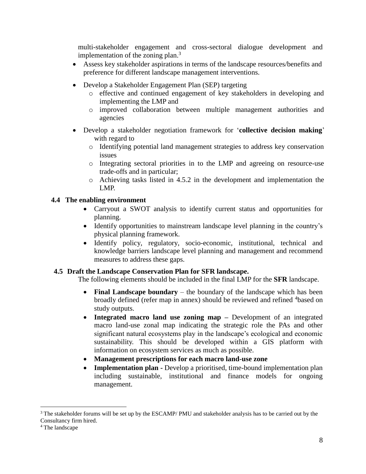multi-stakeholder engagement and cross-sectoral dialogue development and implementation of the zoning plan. $3$ 

- Assess key stakeholder aspirations in terms of the landscape resources/benefits and preference for different landscape management interventions.
- Develop a Stakeholder Engagement Plan (SEP) targeting
	- o effective and continued engagement of key stakeholders in developing and implementing the LMP and
	- o improved collaboration between multiple management authorities and agencies
- Develop a stakeholder negotiation framework for '**collective decision making**' with regard to
	- o Identifying potential land management strategies to address key conservation issues
	- o Integrating sectoral priorities in to the LMP and agreeing on resource-use trade-offs and in particular;
	- o Achieving tasks listed in 4.5.2 in the development and implementation the LMP.

## **4.4 The enabling environment**

- Carryout a SWOT analysis to identify current status and opportunities for planning.
- Identify opportunities to mainstream landscape level planning in the country's physical planning framework.
- Identify policy, regulatory, socio-economic, institutional, technical and knowledge barriers landscape level planning and management and recommend measures to address these gaps.

## **4.5 Draft the Landscape Conservation Plan for SFR landscape.**

The following elements should be included in the final LMP for the **SFR** landscape.

- **Final Landscape boundary** the boundary of the landscape which has been broadly defined (refer map in annex) should be reviewed and refined <sup>4</sup>based on study outputs.
- **Integrated macro land use zoning map –** Development of an integrated macro land-use zonal map indicating the strategic role the PAs and other significant natural ecosystems play in the landscape's ecological and economic sustainability. This should be developed within a GIS platform with information on ecosystem services as much as possible.
- **Management prescriptions for each macro land-use zone**
- **Implementation plan -** Develop a prioritised, time-bound implementation plan including sustainable, institutional and finance models for ongoing management.

 $\overline{a}$  $3$  The stakeholder forums will be set up by the ESCAMP/ PMU and stakeholder analysis has to be carried out by the Consultancy firm hired.

<sup>4</sup> The landscape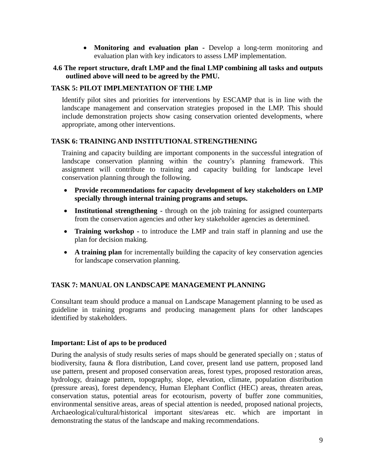**Monitoring and evaluation plan -** Develop a long-term monitoring and evaluation plan with key indicators to assess LMP implementation.

#### **4.6 The report structure, draft LMP and the final LMP combining all tasks and outputs outlined above will need to be agreed by the PMU.**

### **TASK 5: PILOT IMPLMENTATION OF THE LMP**

Identify pilot sites and priorities for interventions by ESCAMP that is in line with the landscape management and conservation strategies proposed in the LMP. This should include demonstration projects show casing conservation oriented developments, where appropriate, among other interventions.

#### **TASK 6: TRAINING AND INSTITUTIONAL STRENGTHENING**

Training and capacity building are important components in the successful integration of landscape conservation planning within the country's planning framework. This assignment will contribute to training and capacity building for landscape level conservation planning through the following.

- **Provide recommendations for capacity development of key stakeholders on LMP specially through internal training programs and setups.**
- **Institutional strengthening -** through on the job training for assigned counterparts from the conservation agencies and other key stakeholder agencies as determined.
- **Training workshop -** to introduce the LMP and train staff in planning and use the plan for decision making.
- **A training plan** for incrementally building the capacity of key conservation agencies for landscape conservation planning.

## **TASK 7: MANUAL ON LANDSCAPE MANAGEMENT PLANNING**

Consultant team should produce a manual on Landscape Management planning to be used as guideline in training programs and producing management plans for other landscapes identified by stakeholders.

#### **Important: List of aps to be produced**

During the analysis of study results series of maps should be generated specially on ; status of biodiversity, fauna & flora distribution, Land cover, present land use pattern, proposed land use pattern, present and proposed conservation areas, forest types, proposed restoration areas, hydrology, drainage pattern, topography, slope, elevation, climate, population distribution (pressure areas), forest dependency, Human Elephant Conflict (HEC) areas, threaten areas, conservation status, potential areas for ecotourism, poverty of buffer zone communities, environmental sensitive areas, areas of special attention is needed, proposed national projects, Archaeological/cultural/historical important sites/areas etc. which are important in demonstrating the status of the landscape and making recommendations.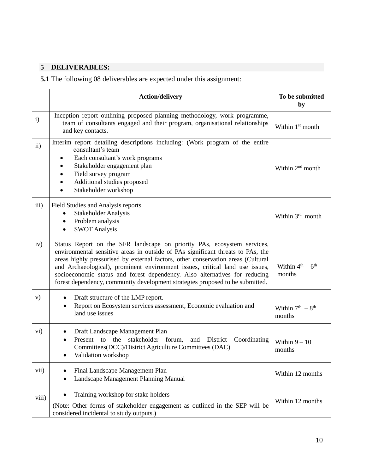# **5 DELIVERABLES:**

**5.1** The following 08 deliverables are expected under this assignment:

|               | <b>Action/delivery</b>                                                                                                                                                                                                                                                                                                                                                                                                                                                                        | To be submitted<br>by                              |
|---------------|-----------------------------------------------------------------------------------------------------------------------------------------------------------------------------------------------------------------------------------------------------------------------------------------------------------------------------------------------------------------------------------------------------------------------------------------------------------------------------------------------|----------------------------------------------------|
| i)            | Inception report outlining proposed planning methodology, work programme,<br>team of consultants engaged and their program, organisational relationships<br>and key contacts.                                                                                                                                                                                                                                                                                                                 | Within 1 <sup>st</sup> month                       |
| $\mathbf{ii}$ | Interim report detailing descriptions including: (Work program of the entire<br>consultant's team<br>Each consultant's work programs<br>Stakeholder engagement plan<br>Field survey program<br>Additional studies proposed<br>Stakeholder workshop                                                                                                                                                                                                                                            | Within 2 <sup>nd</sup> month                       |
| iii)          | Field Studies and Analysis reports<br><b>Stakeholder Analysis</b><br>Problem analysis<br>$\bullet$<br><b>SWOT Analysis</b>                                                                                                                                                                                                                                                                                                                                                                    | Within 3rd month                                   |
| iv)           | Status Report on the SFR landscape on priority PAs, ecosystem services,<br>environmental sensitive areas in outside of PAs significant threats to PAs, the<br>areas highly pressurised by external factors, other conservation areas (Cultural<br>and Archaeological), prominent environment issues, critical land use issues,<br>socioeconomic status and forest dependency. Also alternatives for reducing<br>forest dependency, community development strategies proposed to be submitted. | Within $4^{\text{th}}$ - $6^{\text{th}}$<br>months |
| V)            | Draft structure of the LMP report.<br>٠<br>Report on Ecosystem services assessment, Economic evaluation and<br>$\bullet$<br>land use issues                                                                                                                                                                                                                                                                                                                                                   | Within $7th - 8th$<br>months                       |
| $\rm vi)$     | Draft Landscape Management Plan<br>the<br>stakeholder forum,<br>Present to<br>and District<br>Coordinating<br>Committees(DCC)/District Agriculture Committees (DAC)<br>Validation workshop                                                                                                                                                                                                                                                                                                    | Within $9-10$<br>months                            |
| vii)          | Final Landscape Management Plan<br>Landscape Management Planning Manual<br>$\bullet$                                                                                                                                                                                                                                                                                                                                                                                                          | Within 12 months                                   |
| viii)         | Training workshop for stake holders<br>$\bullet$<br>(Note: Other forms of stakeholder engagement as outlined in the SEP will be<br>considered incidental to study outputs.)                                                                                                                                                                                                                                                                                                                   | Within 12 months                                   |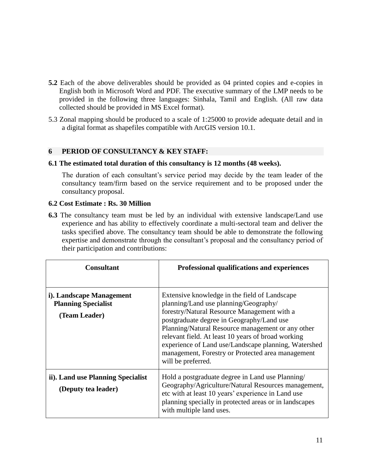- **5.2** Each of the above deliverables should be provided as 04 printed copies and e-copies in English both in Microsoft Word and PDF. The executive summary of the LMP needs to be provided in the following three languages: Sinhala, Tamil and English. (All raw data collected should be provided in MS Excel format).
- 5.3 Zonal mapping should be produced to a scale of 1:25000 to provide adequate detail and in a digital format as shapefiles compatible with ArcGIS version 10.1.

#### **6 PERIOD OF CONSULTANCY & KEY STAFF:**

#### **6.1 The estimated total duration of this consultancy is 12 months (48 weeks).**

The duration of each consultant's service period may decide by the team leader of the consultancy team/firm based on the service requirement and to be proposed under the consultancy proposal.

#### **6.2 Cost Estimate : Rs. 30 Million**

**6.3** The consultancy team must be led by an individual with extensive landscape/Land use experience and has ability to effectively coordinate a multi-sectoral team and deliver the tasks specified above. The consultancy team should be able to demonstrate the following expertise and demonstrate through the consultant's proposal and the consultancy period of their participation and contributions:

| <b>Consultant</b>                                                       | Professional qualifications and experiences                                                                                                                                                                                                                                                                                                                                                                                      |
|-------------------------------------------------------------------------|----------------------------------------------------------------------------------------------------------------------------------------------------------------------------------------------------------------------------------------------------------------------------------------------------------------------------------------------------------------------------------------------------------------------------------|
| i). Landscape Management<br><b>Planning Specialist</b><br>(Team Leader) | Extensive knowledge in the field of Landscape<br>planning/Land use planning/Geography/<br>forestry/Natural Resource Management with a<br>postgraduate degree in Geography/Land use<br>Planning/Natural Resource management or any other<br>relevant field. At least 10 years of broad working<br>experience of Land use/Landscape planning, Watershed<br>management, Forestry or Protected area management<br>will be preferred. |
| ii). Land use Planning Specialist<br>(Deputy tea leader)                | Hold a postgraduate degree in Land use Planning/<br>Geography/Agriculture/Natural Resources management,<br>etc with at least 10 years' experience in Land use<br>planning specially in protected areas or in landscapes<br>with multiple land uses.                                                                                                                                                                              |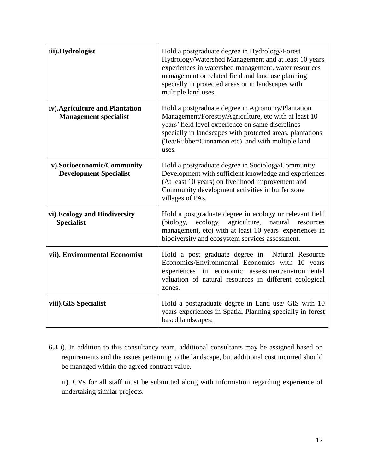| iii).Hydrologist                                                | Hold a postgraduate degree in Hydrology/Forest<br>Hydrology/Watershed Management and at least 10 years<br>experiences in watershed management, water resources<br>management or related field and land use planning<br>specially in protected areas or in landscapes with<br>multiple land uses. |  |
|-----------------------------------------------------------------|--------------------------------------------------------------------------------------------------------------------------------------------------------------------------------------------------------------------------------------------------------------------------------------------------|--|
| iv). Agriculture and Plantation<br><b>Management specialist</b> | Hold a postgraduate degree in Agronomy/Plantation<br>Management/Forestry/Agriculture, etc with at least 10<br>years' field level experience on same disciplines<br>specially in landscapes with protected areas, plantations<br>(Tea/Rubber/Cinnamon etc) and with multiple land<br>uses.        |  |
| v).Socioeconomic/Community<br><b>Development Specialist</b>     | Hold a postgraduate degree in Sociology/Community<br>Development with sufficient knowledge and experiences<br>(At least 10 years) on livelihood improvement and<br>Community development activities in buffer zone<br>villages of PAs.                                                           |  |
| vi). Ecology and Biodiversity<br><b>Specialist</b>              | Hold a postgraduate degree in ecology or relevant field<br>ecology,<br>agriculture, natural<br>(biology,<br>resources<br>management, etc) with at least 10 years' experiences in<br>biodiversity and ecosystem services assessment.                                                              |  |
| vii). Environmental Economist                                   | Hold a post graduate degree in Natural Resource<br>Economics/Environmental Economics with 10 years<br>experiences in economic assessment/environmental<br>valuation of natural resources in different ecological<br>zones.                                                                       |  |
| viii).GIS Specialist                                            | Hold a postgraduate degree in Land use/ GIS with 10<br>years experiences in Spatial Planning specially in forest<br>based landscapes.                                                                                                                                                            |  |

**6.3** i). In addition to this consultancy team, additional consultants may be assigned based on requirements and the issues pertaining to the landscape, but additional cost incurred should be managed within the agreed contract value.

ii). CVs for all staff must be submitted along with information regarding experience of undertaking similar projects.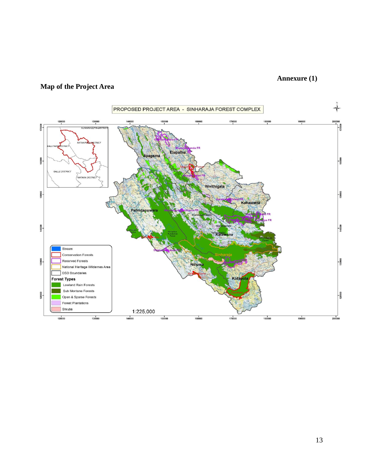## **Annexure (1)**

## **Map of the Project Area**

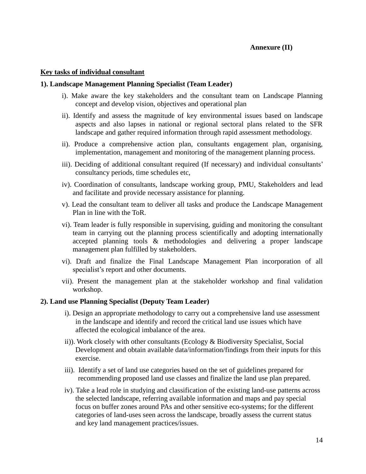#### **Key tasks of individual consultant**

#### **1). Landscape Management Planning Specialist (Team Leader)**

- i). Make aware the key stakeholders and the consultant team on Landscape Planning concept and develop vision, objectives and operational plan
- ii). Identify and assess the magnitude of key environmental issues based on landscape aspects and also lapses in national or regional sectoral plans related to the SFR landscape and gather required information through rapid assessment methodology.
- ii). Produce a comprehensive action plan, consultants engagement plan, organising, implementation, management and monitoring of the management planning process.
- iii). Deciding of additional consultant required (If necessary) and individual consultants' consultancy periods, time schedules etc,
- iv). Coordination of consultants, landscape working group, PMU, Stakeholders and lead and facilitate and provide necessary assistance for planning.
- v). Lead the consultant team to deliver all tasks and produce the Landscape Management Plan in line with the ToR.
- vi). Team leader is fully responsible in supervising, guiding and monitoring the consultant team in carrying out the planning process scientifically and adopting internationally accepted planning tools & methodologies and delivering a proper landscape management plan fulfilled by stakeholders.
- vi). Draft and finalize the Final Landscape Management Plan incorporation of all specialist's report and other documents.
- vii). Present the management plan at the stakeholder workshop and final validation workshop.

#### **2). Land use Planning Specialist (Deputy Team Leader)**

- i). Design an appropriate methodology to carry out a comprehensive land use assessment in the landscape and identify and record the critical land use issues which have affected the ecological imbalance of the area.
- ii)). Work closely with other consultants (Ecology & Biodiversity Specialist, Social Development and obtain available data/information/findings from their inputs for this exercise.
- iii). Identify a set of land use categories based on the set of guidelines prepared for recommending proposed land use classes and finalize the land use plan prepared.
- iv). Take a lead role in studying and classification of the existing land-use patterns across the selected landscape, referring available information and maps and pay special focus on buffer zones around PAs and other sensitive eco-systems; for the different categories of land-uses seen across the landscape, broadly assess the current status and key land management practices/issues.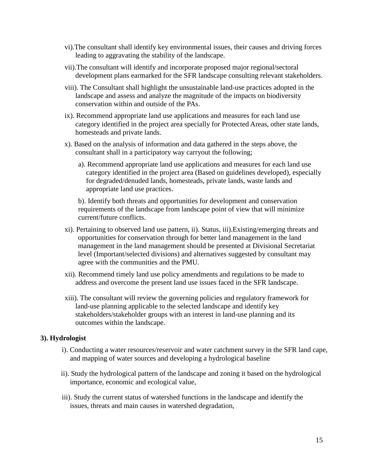- vi).The consultant shall identify key environmental issues, their causes and driving forces leading to aggravating the stability of the landscape.
- vii).The consultant will identify and incorporate proposed major regional/sectoral development plans earmarked for the SFR landscape consulting relevant stakeholders.
- viii). The Consultant shall highlight the unsustainable land-use practices adopted in the landscape and assess and analyze the magnitude of the impacts on biodiversity conservation within and outside of the PAs.
- ix). Recommend appropriate land use applications and measures for each land use category identified in the project area specially for Protected Areas, other state lands, homesteads and private lands.
- x). Based on the analysis of information and data gathered in the steps above, the consultant shall in a participatory way carryout the following;
	- a). Recommend appropriate land use applications and measures for each land use category identified in the project area (Based on guidelines developed), especially for degraded/denuded lands, homesteads, private lands, waste lands and appropriate land use practices.

b). Identify both threats and opportunities for development and conservation requirements of the landscape from landscape point of view that will minimize current/future conflicts.

- xi). Pertaining to observed land use pattern, ii). Status, iii).Existing/emerging threats and opportunities for conservation through for better land management in the land management in the land management should be presented at Divisional Secretariat level (Important/selected divisions) and alternatives suggested by consultant may agree with the communities and the PMU.
- xii). Recommend timely land use policy amendments and regulations to be made to address and overcome the present land use issues faced in the SFR landscape.
- xiii). The consultant will review the governing policies and regulatory framework for land-use planning applicable to the selected landscape and identify key stakeholders/stakeholder groups with an interest in land-use planning and its outcomes within the landscape.

#### **3). Hydrologist**

- i). Conducting a water resources/reservoir and water catchment survey in the SFR land cape, and mapping of water sources and developing a hydrological baseline
- ii). Study the hydrological pattern of the landscape and zoning it based on the hydrological importance, economic and ecological value,
- iii). Study the current status of watershed functions in the landscape and identify the issues, threats and main causes in watershed degradation,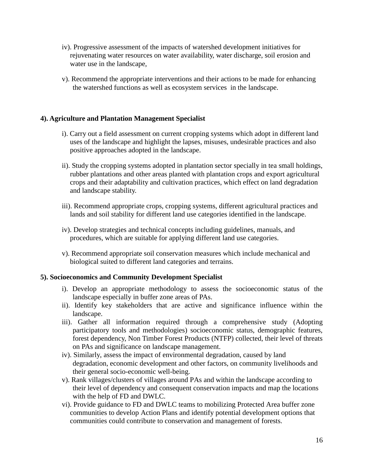- iv). Progressive assessment of the impacts of watershed development initiatives for rejuvenating water resources on water availability, water discharge, soil erosion and water use in the landscape,
- v). Recommend the appropriate interventions and their actions to be made for enhancing the watershed functions as well as ecosystem services in the landscape.

### **4). Agriculture and Plantation Management Specialist**

- i). Carry out a field assessment on current cropping systems which adopt in different land uses of the landscape and highlight the lapses, misuses, undesirable practices and also positive approaches adopted in the landscape.
- ii). Study the cropping systems adopted in plantation sector specially in tea small holdings, rubber plantations and other areas planted with plantation crops and export agricultural crops and their adaptability and cultivation practices, which effect on land degradation and landscape stability.
- iii). Recommend appropriate crops, cropping systems, different agricultural practices and lands and soil stability for different land use categories identified in the landscape.
- iv). Develop strategies and technical concepts including guidelines, manuals, and procedures, which are suitable for applying different land use categories.
- v). Recommend appropriate soil conservation measures which include mechanical and biological suited to different land categories and terrains.

#### **5). Socioeconomics and Community Development Specialist**

- i). Develop an appropriate methodology to assess the socioeconomic status of the landscape especially in buffer zone areas of PAs.
- ii). Identify key stakeholders that are active and significance influence within the landscape.
- iii). Gather all information required through a comprehensive study (Adopting participatory tools and methodologies) socioeconomic status, demographic features, forest dependency, Non Timber Forest Products (NTFP) collected, their level of threats on PAs and significance on landscape management.
- iv). Similarly, assess the impact of environmental degradation, caused by land degradation, economic development and other factors, on community livelihoods and their general socio-economic well-being.
- v). Rank villages/clusters of villages around PAs and within the landscape according to their level of dependency and consequent conservation impacts and map the locations with the help of FD and DWLC.
- vi). Provide guidance to FD and DWLC teams to mobilizing Protected Area buffer zone communities to develop Action Plans and identify potential development options that communities could contribute to conservation and management of forests.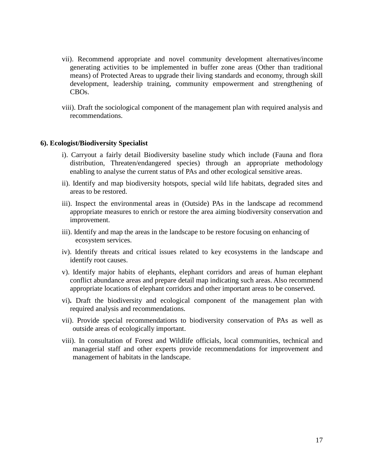- vii). Recommend appropriate and novel community development alternatives/income generating activities to be implemented in buffer zone areas (Other than traditional means) of Protected Areas to upgrade their living standards and economy, through skill development, leadership training, community empowerment and strengthening of CBOs.
- viii). Draft the sociological component of the management plan with required analysis and recommendations.

#### **6). Ecologist/Biodiversity Specialist**

- i). Carryout a fairly detail Biodiversity baseline study which include (Fauna and flora distribution, Threaten/endangered species) through an appropriate methodology enabling to analyse the current status of PAs and other ecological sensitive areas.
- ii). Identify and map biodiversity hotspots, special wild life habitats, degraded sites and areas to be restored.
- iii). Inspect the environmental areas in (Outside) PAs in the landscape ad recommend appropriate measures to enrich or restore the area aiming biodiversity conservation and improvement.
- iii). Identify and map the areas in the landscape to be restore focusing on enhancing of ecosystem services.
- iv). Identify threats and critical issues related to key ecosystems in the landscape and identify root causes.
- v). Identify major habits of elephants, elephant corridors and areas of human elephant conflict abundance areas and prepare detail map indicating such areas. Also recommend appropriate locations of elephant corridors and other important areas to be conserved.
- vi)**.** Draft the biodiversity and ecological component of the management plan with required analysis and recommendations.
- vii). Provide special recommendations to biodiversity conservation of PAs as well as outside areas of ecologically important.
- viii). In consultation of Forest and Wildlife officials, local communities, technical and managerial staff and other experts provide recommendations for improvement and management of habitats in the landscape.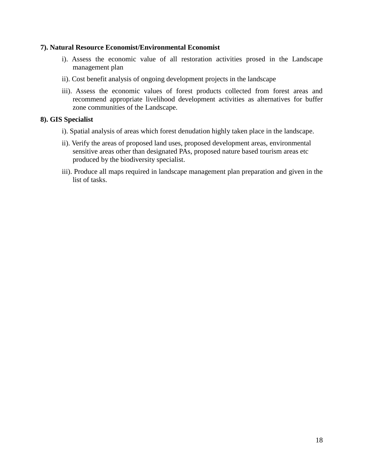#### **7). Natural Resource Economist/Environmental Economist**

- i). Assess the economic value of all restoration activities prosed in the Landscape management plan
- ii). Cost benefit analysis of ongoing development projects in the landscape
- iii). Assess the economic values of forest products collected from forest areas and recommend appropriate livelihood development activities as alternatives for buffer zone communities of the Landscape.

### **8). GIS Specialist**

- i). Spatial analysis of areas which forest denudation highly taken place in the landscape.
- ii). Verify the areas of proposed land uses, proposed development areas, environmental sensitive areas other than designated PAs, proposed nature based tourism areas etc produced by the biodiversity specialist.
- iii). Produce all maps required in landscape management plan preparation and given in the list of tasks.